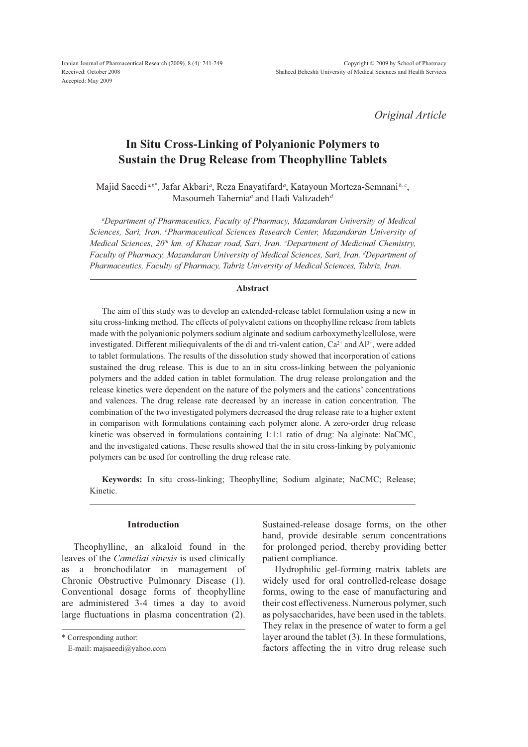*Original Article*

# **In Situ Cross-Linking of Polyanionic Polymers to Sustain the Drug Release from Theophylline Tablets**

Majid Saeedi<sup>a,b\*</sup>, Jafar Akbari<sup>a</sup>, Reza Enayatifard<sup>a</sup>, Katayoun Morteza-Semnani<sup>b, c</sup>, Masoumeh Tahernia<sup>a</sup> and Hadi Valizadeh<sup>a</sup>

*a Department of Pharmaceutics, Faculty of Pharmacy, Mazandaran University of Medical Sciences, Sari, Iran. b Pharmaceutical Sciences Research Center, Mazandaran University of Medical Sciences, 20<sup>th</sup> km. of Khazar road, Sari, Iran. 'Department of Medicinal Chemistry, Faculty of Pharmacy, Mazandaran University of Medical Sciences, Sari, Iran. d Department of Pharmaceutics, Faculty of Pharmacy, Tabriz University of Medical Sciences, Tabriz, Iran.*

### **Abstract**

The aim of this study was to develop an extended-release tablet formulation using a new in situ cross-linking method. The effects of polyvalent cations on theophylline release from tablets made with the polyanionic polymers sodium alginate and sodium carboxymethylcellulose, were investigated. Different miliequivalents of the di and tri-valent cation,  $Ca^{2+}$  and  $Al^{3+}$ , were added to tablet formulations. The results of the dissolution study showed that incorporation of cations sustained the drug release. This is due to an in situ cross-linking between the polyanionic polymers and the added cation in tablet formulation. The drug release prolongation and the release kinetics were dependent on the nature of the polymers and the cations' concentrations and valences. The drug release rate decreased by an increase in cation concentration. The combination of the two investigated polymers decreased the drug release rate to a higher extent in comparison with formulations containing each polymer alone. A zero-order drug release kinetic was observed in formulations containing 1:1:1 ratio of drug: Na alginate: NaCMC, and the investigated cations. These results showed that the in situ cross-linking by polyanionic polymers can be used for controlling the drug release rate.

**Keywords:** In situ cross-linking; Theophylline; Sodium alginate; NaCMC; Release; Kinetic.

# **Introduction**

Theophylline, an alkaloid found in the leaves of the *Cameliai sinesis* is used clinically as a bronchodilator in management of Chronic Obstructive Pulmonary Disease (1). Conventional dosage forms of theophylline are administered 3-4 times a day to avoid large fluctuations in plasma concentration (2).

Sustained-release dosage forms, on the other hand, provide desirable serum concentrations for prolonged period, thereby providing better patient compliance.

Hydrophilic gel-forming matrix tablets are widely used for oral controlled-release dosage forms, owing to the ease of manufacturing and their cost effectiveness. Numerous polymer, such as polysaccharides, have been used in the tablets. They relax in the presence of water to form a gel layer around the tablet (3). In these formulations, factors affecting the in vitro drug release such

<sup>\*</sup> Corresponding author:

E-mail: majsaeedi@yahoo.com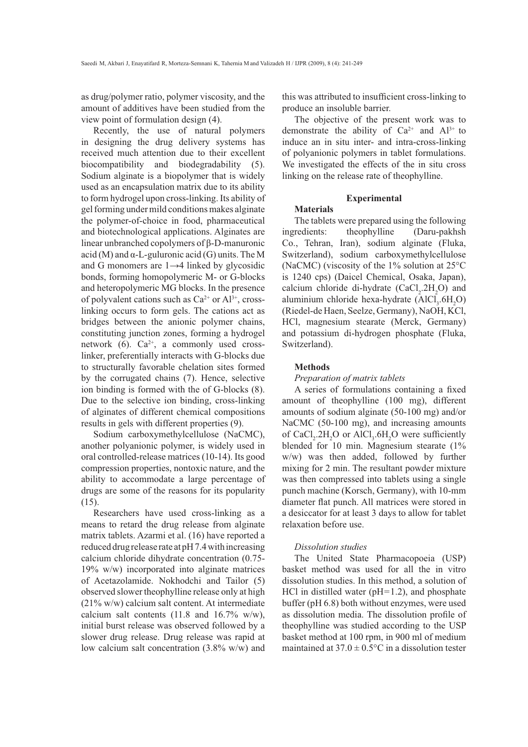as drug/polymer ratio, polymer viscosity, and the amount of additives have been studied from the view point of formulation design (4).

Recently, the use of natural polymers in designing the drug delivery systems has received much attention due to their excellent biocompatibility and biodegradability (5). Sodium alginate is a biopolymer that is widely used as an encapsulation matrix due to its ability to form hydrogel upon cross-linking. Its ability of gel forming under mild conditions makes alginate the polymer-of-choice in food, pharmaceutical and biotechnological applications. Alginates are linear unbranched copolymers of  $\beta$ -D-manuronic acid (M) and  $\alpha$ -L-guluronic acid (G) units. The M and G monomers are  $1\rightarrow4$  linked by glycosidic bonds, forming homopolymeric M- or G-blocks and heteropolymeric MG blocks. In the presence of polyvalent cations such as  $Ca^{2+}$  or  $Al^{3+}$ , crosslinking occurs to form gels. The cations act as bridges between the anionic polymer chains, constituting junction zones, forming a hydrogel network (6).  $Ca^{2+}$ , a commonly used crosslinker, preferentially interacts with G-blocks due to structurally favorable chelation sites formed by the corrugated chains (7). Hence, selective ion binding is formed with the of G-blocks (8). Due to the selective ion binding, cross-linking of alginates of different chemical compositions results in gels with different properties (9).

Sodium carboxymethylcellulose (NaCMC), another polyanionic polymer, is widely used in oral controlled-release matrices (10-14). Its good compression properties, nontoxic nature, and the ability to accommodate a large percentage of drugs are some of the reasons for its popularity (15).

Researchers have used cross-linking as a means to retard the drug release from alginate matrix tablets. Azarmi et al. (16) have reported a reduced drug release rate at pH 7.4 with increasing calcium chloride dihydrate concentration (0.75- 19% w/w) incorporated into alginate matrices of Acetazolamide. Nokhodchi and Tailor (5) observed slower theophylline release only at high (21% w/w) calcium salt content. At intermediate calcium salt contents (11.8 and 16.7% w/w), initial burst release was observed followed by a slower drug release. Drug release was rapid at low calcium salt concentration (3.8% w/w) and

this was attributed to insufficient cross-linking to produce an insoluble barrier.

The objective of the present work was to demonstrate the ability of  $Ca^{2+}$  and  $Al^{3+}$  to induce an in situ inter- and intra-cross-linking of polyanionic polymers in tablet formulations. We investigated the effects of the in situ cross linking on the release rate of theophylline.

# **Experimental**

# **Materials**

The tablets were prepared using the following ingredients: theophylline (Daru-pakhsh Co., Tehran, Iran), sodium alginate (Fluka, Switzerland), sodium carboxymethylcellulose (NaCMC) (viscosity of the 1% solution at 25°C is 1240 cps) (Daicel Chemical, Osaka, Japan), calcium chloride di-hydrate  $(CaCl<sub>2</sub>.2H<sub>2</sub>O)$  and aluminium chloride hexa-hydrate  $(AICl<sub>3</sub>.6H<sub>2</sub>O)$ (Riedel-de Haen, Seelze, Germany), NaOH, KCl, HCl, magnesium stearate (Merck, Germany) and potassium di-hydrogen phosphate (Fluka, Switzerland).

# **Methods**

#### *Preparation of matrix tablets*

A series of formulations containing a fixed amount of theophylline (100 mg), different amounts of sodium alginate (50-100 mg) and/or NaCMC (50-100 mg), and increasing amounts of  $CaCl_2.2H_2O$  or  $AlCl_3.6H_2O$  were sufficiently blended for 10 min. Magnesium stearate (1% w/w) was then added, followed by further mixing for 2 min. The resultant powder mixture was then compressed into tablets using a single punch machine (Korsch, Germany), with 10-mm diameter flat punch. All matrices were stored in a desiccator for at least 3 days to allow for tablet relaxation before use.

#### *Dissolution studies*

The United State Pharmacopoeia (USP) basket method was used for all the in vitro dissolution studies. In this method, a solution of HCl in distilled water ( $pH=1.2$ ), and phosphate buffer (pH 6.8) both without enzymes, were used as dissolution media. The dissolution profile of theophylline was studied according to the USP basket method at 100 rpm, in 900 ml of medium maintained at  $37.0 \pm 0.5^{\circ}$ C in a dissolution tester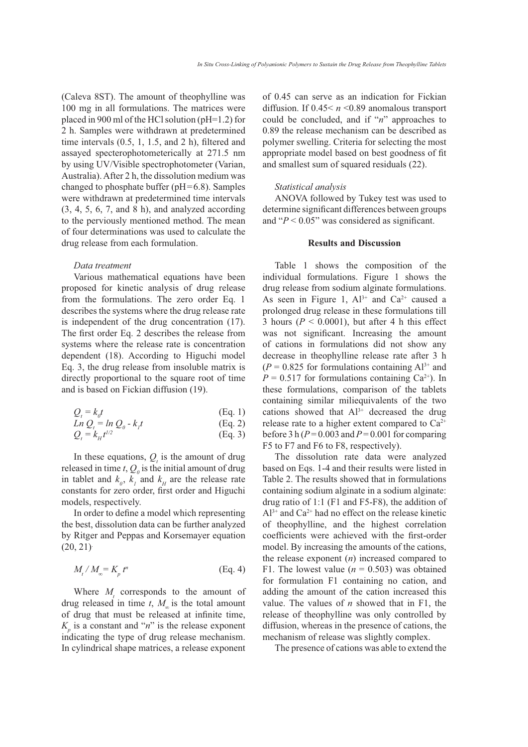(Caleva 8ST). The amount of theophylline was 100 mg in all formulations. The matrices were placed in 900 ml of the HCl solution (pH=1.2) for 2 h. Samples were withdrawn at predetermined time intervals  $(0.5, 1, 1.5,$  and  $2$  h), filtered and assayed specterophotometerically at 271.5 nm by using UV/Visible spectrophotometer (Varian, Australia). After 2 h, the dissolution medium was changed to phosphate buffer (pH=6.8). Samples were withdrawn at predetermined time intervals (3, 4, 5, 6, 7, and 8 h), and analyzed according to the perviously mentioned method. The mean of four determinations was used to calculate the drug release from each formulation.

#### *Data treatment*

Various mathematical equations have been proposed for kinetic analysis of drug release from the formulations. The zero order Eq. 1 describes the systems where the drug release rate is independent of the drug concentration (17). The first order Eq. 2 describes the release from systems where the release rate is concentration dependent (18). According to Higuchi model Eq. 3, the drug release from insoluble matrix is directly proportional to the square root of time and is based on Fickian diffusion (19).

$$
Q_t = k_0 t
$$
 (Eq. 1)  

$$
Ln Q = ln Q - kt
$$
 (Eq. 2)

*Ln* 
$$
Q_t = ln Q_0 - k_t t
$$
 (Eq. 2)  
\n $Q_t = k_H t^{1/2}$  (Eq. 3)

In these equations,  $Q_t$  is the amount of drug released in time  $t$ ,  $Q_0$  is the initial amount of drug in tablet and  $k_0$ ,  $k_1$  and  $k_4$  are the release rate constants for zero order, first order and Higuchi models, respectively.

In order to define a model which representing the best, dissolution data can be further analyzed by Ritger and Peppas and Korsemayer equation  $(20, 21)$ <sup>.</sup>

$$
M_t / M_{\infty} = K_p t^n \tag{Eq. 4}
$$

Where  $M_t$  corresponds to the amount of drug released in time  $t$ ,  $M_{\odot}$  is the total amount of drug that must be released at infinite time,  $K_p$  is a constant and "*n*" is the release exponent indicating the type of drug release mechanism. In cylindrical shape matrices, a release exponent

of 0.45 can serve as an indication for Fickian diffusion. If 0.45< *n* <0.89 anomalous transport could be concluded, and if "*n*" approaches to 0.89 the release mechanism can be described as polymer swelling. Criteria for selecting the most appropriate model based on best goodness of fit and smallest sum of squared residuals (22).

#### *Statistical analysis*

ANOVA followed by Tukey test was used to determine significant differences between groups and " $P < 0.05$ " was considered as significant.

#### **Results and Discussion**

Table 1 shows the composition of the individual formulations. Figure 1 shows the drug release from sodium alginate formulations. As seen in Figure 1,  $Al^{3+}$  and  $Ca^{2+}$  caused a prolonged drug release in these formulations till 3 hours ( $P < 0.0001$ ), but after 4 h this effect was not significant. Increasing the amount of cations in formulations did not show any decrease in theophylline release rate after 3 h  $(P = 0.825$  for formulations containing  $Al^{3+}$  and  $P = 0.517$  for formulations containing Ca<sup>2+</sup>). In these formulations, comparison of the tablets containing similar miliequivalents of the two cations showed that  $Al^{3+}$  decreased the drug release rate to a higher extent compared to  $Ca^{2+}$ before 3 h  $(P = 0.003$  and  $P = 0.001$  for comparing F5 to F7 and F6 to F8, respectively).

The dissolution rate data were analyzed based on Eqs. 1-4 and their results were listed in Table 2. The results showed that in formulations containing sodium alginate in a sodium alginate: drug ratio of 1:1 (F1 and F5-F8), the addition of  $Al^{3+}$  and  $Ca^{2+}$  had no effect on the release kinetic of theophylline, and the highest correlation coefficients were achieved with the first-order model. By increasing the amounts of the cations, the release exponent (*n*) increased compared to F1. The lowest value  $(n = 0.503)$  was obtained for formulation F1 containing no cation, and adding the amount of the cation increased this value. The values of *n* showed that in F1, the release of theophylline was only controlled by diffusion, whereas in the presence of cations, the mechanism of release was slightly complex.

The presence of cations was able to extend the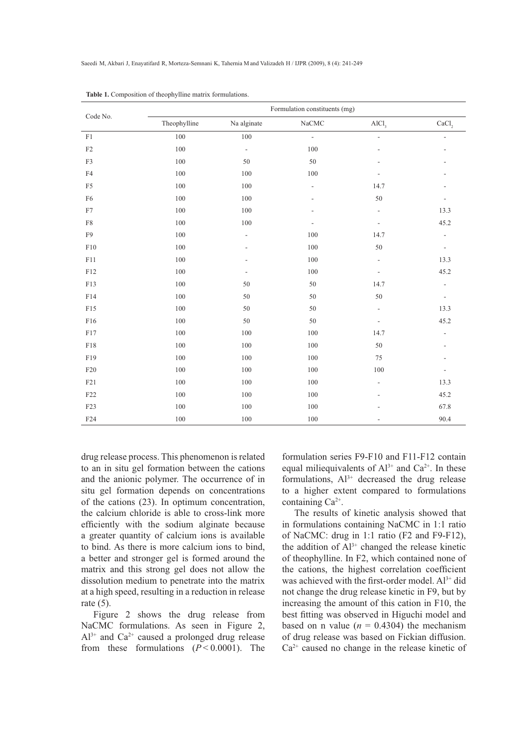| Code No.        | Formulation constituents (mg) |                          |                |                              |                              |  |  |  |  |
|-----------------|-------------------------------|--------------------------|----------------|------------------------------|------------------------------|--|--|--|--|
|                 | Theophylline                  | Na alginate              | $\rm NaCMC$    | AICl <sub>3</sub>            | CaCl,                        |  |  |  |  |
| $\rm F1$        | 100                           | $100\,$                  | $\frac{1}{2}$  | $\frac{1}{2}$                | $\overline{a}$               |  |  |  |  |
| $\rm F2$        | $100\,$                       | $\frac{1}{2}$            | $100\,$        |                              | ÷,                           |  |  |  |  |
| F3              | 100                           | 50                       | $50\,$         |                              |                              |  |  |  |  |
| ${\rm F4}$      | $100\,$                       | 100                      | 100            |                              |                              |  |  |  |  |
| F <sub>5</sub>  | 100                           | 100                      | $\overline{a}$ | 14.7                         |                              |  |  |  |  |
| F6              | $100\,$                       | 100                      | $\overline{a}$ | $50\,$                       |                              |  |  |  |  |
| F7              | 100                           | 100                      |                | L,                           | 13.3                         |  |  |  |  |
| F8              | 100                           | $100\,$                  | $\overline{a}$ | $\qquad \qquad \blacksquare$ | 45.2                         |  |  |  |  |
| F <sub>9</sub>  | 100                           | $\overline{\phantom{a}}$ | 100            | 14.7                         | $\frac{1}{2}$                |  |  |  |  |
| F10             | 100                           |                          | $100\,$        | $50\,$                       | $\overline{\phantom{a}}$     |  |  |  |  |
| F11             | 100                           |                          | 100            | $\frac{1}{2}$                | 13.3                         |  |  |  |  |
| F12             | $100\,$                       | $\overline{\phantom{a}}$ | 100            | $\qquad \qquad \blacksquare$ | 45.2                         |  |  |  |  |
| F13             | $100\,$                       | 50                       | $50\,$         | 14.7                         | $\frac{1}{2}$                |  |  |  |  |
| F14             | $100\,$                       | 50                       | $50\,$         | $50\,$                       | $\overline{\phantom{a}}$     |  |  |  |  |
| F15             | $100\,$                       | $50\,$                   | $50\,$         | $\frac{1}{2}$                | 13.3                         |  |  |  |  |
| F16             | 100                           | 50                       | 50             | $\overline{\phantom{a}}$     | 45.2                         |  |  |  |  |
| F17             | 100                           | 100                      | 100            | 14.7                         | $\frac{1}{2}$                |  |  |  |  |
| F18             | $100\,$                       | 100                      | 100            | 50                           | $\qquad \qquad \blacksquare$ |  |  |  |  |
| F19             | 100                           | 100                      | 100            | 75                           |                              |  |  |  |  |
| F20             | $100\,$                       | 100                      | 100            | 100                          | $\overline{a}$               |  |  |  |  |
| F21             | 100                           | 100                      | 100            | $\overline{\phantom{a}}$     | 13.3                         |  |  |  |  |
| F22             | $100\,$                       | 100                      | 100            |                              | 45.2                         |  |  |  |  |
| F23             | 100                           | 100                      | 100            |                              | 67.8                         |  |  |  |  |
| F <sub>24</sub> | $100\,$                       | 100                      | 100            |                              | 90.4                         |  |  |  |  |

**Table 1.** Composition of theophylline matrix formulations.

drug release process. This phenomenon is related to an in situ gel formation between the cations and the anionic polymer. The occurrence of in situ gel formation depends on concentrations of the cations (23). In optimum concentration, the calcium chloride is able to cross-link more efficiently with the sodium alginate because a greater quantity of calcium ions is available to bind. As there is more calcium ions to bind, a better and stronger gel is formed around the matrix and this strong gel does not allow the dissolution medium to penetrate into the matrix at a high speed, resulting in a reduction in release rate  $(5)$ .

Figure 2 shows the drug release from NaCMC formulations. As seen in Figure 2,  $Al^{3+}$  and  $Ca^{2+}$  caused a prolonged drug release from these formulations  $(P < 0.0001)$ . The

formulation series F9-F10 and F11-F12 contain equal miliequivalents of  $Al^{3+}$  and  $Ca^{2+}$ . In these formulations,  $Al^{3+}$  decreased the drug release to a higher extent compared to formulations containing Ca2+.

The results of kinetic analysis showed that in formulations containing NaCMC in 1:1 ratio of NaCMC: drug in 1:1 ratio (F2 and F9-F12), the addition of  $Al^{3+}$  changed the release kinetic of theophylline. In F2, which contained none of the cations, the highest correlation coefficient was achieved with the first-order model.  $Al^{3+}$  did not change the drug release kinetic in F9, but by increasing the amount of this cation in F10, the best fitting was observed in Higuchi model and based on n value  $(n = 0.4304)$  the mechanism of drug release was based on Fickian diffusion.  $Ca<sup>2+</sup>$  caused no change in the release kinetic of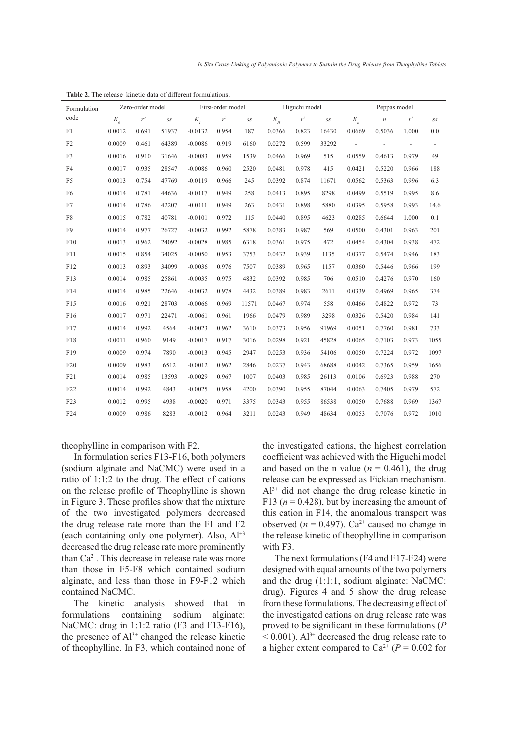| Formulation<br>code | Zero-order model           |       | First-order model        |           | Higuchi model |                          | Peppas model |       |                          |                          |                  |       |                          |
|---------------------|----------------------------|-------|--------------------------|-----------|---------------|--------------------------|--------------|-------|--------------------------|--------------------------|------------------|-------|--------------------------|
|                     | $K_{\scriptscriptstyle 0}$ | $r^2$ | $\mathcal{S}\mathcal{S}$ | $K_i$     | $r^2$         | $\mathcal{S}\mathcal{S}$ | $K_H$        | $r^2$ | $\mathcal{S}\mathcal{S}$ | $K_p$                    | $\boldsymbol{n}$ | $r^2$ | $\mathcal{S}\mathcal{S}$ |
| F1                  | 0.0012                     | 0.691 | 51937                    | $-0.0132$ | 0.954         | 187                      | 0.0366       | 0.823 | 16430                    | 0.0669                   | 0.5036           | 1.000 | 0.0                      |
| F2                  | 0.0009                     | 0.461 | 64389                    | $-0.0086$ | 0.919         | 6160                     | 0.0272       | 0.599 | 33292                    | $\overline{\phantom{a}}$ |                  |       | $\blacksquare$           |
| F3                  | 0.0016                     | 0.910 | 31646                    | $-0.0083$ | 0.959         | 1539                     | 0.0466       | 0.969 | 515                      | 0.0559                   | 0.4613           | 0.979 | 49                       |
| F <sub>4</sub>      | 0.0017                     | 0.935 | 28547                    | $-0.0086$ | 0.960         | 2520                     | 0.0481       | 0.978 | 415                      | 0.0421                   | 0.5220           | 0.966 | 188                      |
| F <sub>5</sub>      | 0.0013                     | 0.754 | 47769                    | $-0.0119$ | 0.966         | 245                      | 0.0392       | 0.874 | 11671                    | 0.0562                   | 0.5363           | 0.996 | 6.3                      |
| F <sub>6</sub>      | 0.0014                     | 0.781 | 44636                    | $-0.0117$ | 0.949         | 258                      | 0.0413       | 0.895 | 8298                     | 0.0499                   | 0.5519           | 0.995 | 8.6                      |
| F7                  | 0.0014                     | 0.786 | 42207                    | $-0.0111$ | 0.949         | 263                      | 0.0431       | 0.898 | 5880                     | 0.0395                   | 0.5958           | 0.993 | 14.6                     |
| F8                  | 0.0015                     | 0.782 | 40781                    | $-0.0101$ | 0.972         | 115                      | 0.0440       | 0.895 | 4623                     | 0.0285                   | 0.6644           | 1.000 | 0.1                      |
| F <sub>9</sub>      | 0.0014                     | 0.977 | 26727                    | $-0.0032$ | 0.992         | 5878                     | 0.0383       | 0.987 | 569                      | 0.0500                   | 0.4301           | 0.963 | 201                      |
| F10                 | 0.0013                     | 0.962 | 24092                    | $-0.0028$ | 0.985         | 6318                     | 0.0361       | 0.975 | 472                      | 0.0454                   | 0.4304           | 0.938 | 472                      |
| F11                 | 0.0015                     | 0.854 | 34025                    | $-0.0050$ | 0.953         | 3753                     | 0.0432       | 0.939 | 1135                     | 0.0377                   | 0.5474           | 0.946 | 183                      |
| F12                 | 0.0013                     | 0.893 | 34099                    | $-0.0036$ | 0.976         | 7507                     | 0.0389       | 0.965 | 1157                     | 0.0360                   | 0.5446           | 0.966 | 199                      |
| F13                 | 0.0014                     | 0.985 | 25861                    | $-0.0035$ | 0.975         | 4832                     | 0.0392       | 0.985 | 706                      | 0.0510                   | 0.4276           | 0.970 | 160                      |
| F14                 | 0.0014                     | 0.985 | 22646                    | $-0.0032$ | 0.978         | 4432                     | 0.0389       | 0.983 | 2611                     | 0.0339                   | 0.4969           | 0.965 | 374                      |
| F15                 | 0.0016                     | 0.921 | 28703                    | $-0.0066$ | 0.969         | 11571                    | 0.0467       | 0.974 | 558                      | 0.0466                   | 0.4822           | 0.972 | 73                       |
| F16                 | 0.0017                     | 0.971 | 22471                    | $-0.0061$ | 0.961         | 1966                     | 0.0479       | 0.989 | 3298                     | 0.0326                   | 0.5420           | 0.984 | 141                      |
| F17                 | 0.0014                     | 0.992 | 4564                     | $-0.0023$ | 0.962         | 3610                     | 0.0373       | 0.956 | 91969                    | 0.0051                   | 0.7760           | 0.981 | 733                      |
| F18                 | 0.0011                     | 0.960 | 9149                     | $-0.0017$ | 0.917         | 3016                     | 0.0298       | 0.921 | 45828                    | 0.0065                   | 0.7103           | 0.973 | 1055                     |
| F19                 | 0.0009                     | 0.974 | 7890                     | $-0.0013$ | 0.945         | 2947                     | 0.0253       | 0.936 | 54106                    | 0.0050                   | 0.7224           | 0.972 | 1097                     |
| F20                 | 0.0009                     | 0.983 | 6512                     | $-0.0012$ | 0.962         | 2846                     | 0.0237       | 0.943 | 68688                    | 0.0042                   | 0.7365           | 0.959 | 1656                     |
| F21                 | 0.0014                     | 0.985 | 13593                    | $-0.0029$ | 0.967         | 1007                     | 0.0403       | 0.985 | 26113                    | 0.0106                   | 0.6923           | 0.988 | 270                      |
| F22                 | 0.0014                     | 0.992 | 4843                     | $-0.0025$ | 0.958         | 4200                     | 0.0390       | 0.955 | 87044                    | 0.0063                   | 0.7405           | 0.979 | 572                      |
| F23                 | 0.0012                     | 0.995 | 4938                     | $-0.0020$ | 0.971         | 3375                     | 0.0343       | 0.955 | 86538                    | 0.0050                   | 0.7688           | 0.969 | 1367                     |
| F24                 | 0.0009                     | 0.986 | 8283                     | $-0.0012$ | 0.964         | 3211                     | 0.0243       | 0.949 | 48634                    | 0.0053                   | 0.7076           | 0.972 | 1010                     |

**Table 2.** The release kinetic data of different formulations.

theophylline in comparison with F2.

In formulation series F13-F16, both polymers (sodium alginate and NaCMC) were used in a ratio of 1:1:2 to the drug. The effect of cations on the release profile of Theophylline is shown in Figure 3. These profiles show that the mixture of the two investigated polymers decreased the drug release rate more than the F1 and F2 (each containing only one polymer). Also,  $Al^{+3}$ decreased the drug release rate more prominently than  $Ca^{2+}$ . This decrease in release rate was more than those in F5-F8 which contained sodium alginate, and less than those in F9-F12 which contained NaCMC.

The kinetic analysis showed that in formulations containing sodium alginate: NaCMC: drug in 1:1:2 ratio (F3 and F13-F16), the presence of  $Al^{3+}$  changed the release kinetic of theophylline. In F3, which contained none of the investigated cations, the highest correlation coefficient was achieved with the Higuchi model and based on the n value ( $n = 0.461$ ), the drug release can be expressed as Fickian mechanism.  $Al^{3+}$  did not change the drug release kinetic in F13 ( $n = 0.428$ ), but by increasing the amount of this cation in F14, the anomalous transport was observed ( $n = 0.497$ ). Ca<sup>2+</sup> caused no change in the release kinetic of theophylline in comparison with F3.

The next formulations (F4 and F17-F24) were designed with equal amounts of the two polymers and the drug (1:1:1, sodium alginate: NaCMC: drug). Figures 4 and 5 show the drug release from these formulations. The decreasing effect of the investigated cations on drug release rate was proved to be significant in these formulations (P  $< 0.001$ ). Al<sup>3+</sup> decreased the drug release rate to a higher extent compared to  $Ca^{2+} (P = 0.002)$  for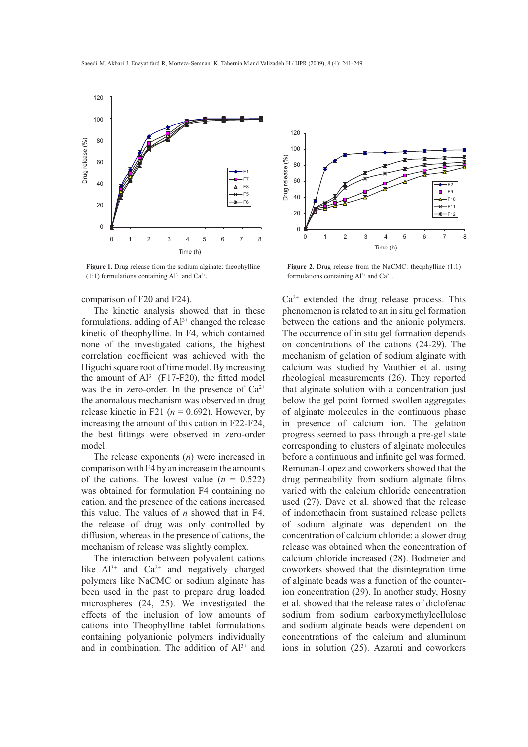

**Figure 1.** Drug release from the sodium alginate: theophylline  $(1:1)$  formulations containing Al<sup>3+</sup> and Ca<sup>2+</sup>.

## comparison of F20 and F24).

The kinetic analysis showed that in these formulations, adding of  $Al^{3+}$  changed the release kinetic of theophylline. In F4, which contained none of the investigated cations, the highest correlation coefficient was achieved with the Higuchi square root of time model. By increasing the amount of  $Al^{3+}$  (F17-F20), the fitted model was the in zero-order. In the presence of  $Ca^{2+}$ the anomalous mechanism was observed in drug release kinetic in F21 ( $n = 0.692$ ). However, by increasing the amount of this cation in F22-F24, the best fittings were observed in zero-order model.

The release exponents (*n*) were increased in comparison with F4 by an increase in the amounts of the cations. The lowest value  $(n = 0.522)$ was obtained for formulation F4 containing no cation, and the presence of the cations increased this value. The values of *n* showed that in F4, the release of drug was only controlled by diffusion, whereas in the presence of cations, the mechanism of release was slightly complex.

The interaction between polyvalent cations like  $Al^{3+}$  and  $Ca^{2+}$  and negatively charged polymers like NaCMC or sodium alginate has been used in the past to prepare drug loaded microspheres (24, 25). We investigated the effects of the inclusion of low amounts of cations into Theophylline tablet formulations containing polyanionic polymers individually and in combination. The addition of  $Al^{3+}$  and



Figure 2. Drug release from the NaCMC: theophylline (1:1) formulations containing  $Al^{3+}$  and  $Ca^{2+}$ .

 $Ca<sup>2+</sup>$  extended the drug release process. This phenomenon is related to an in situ gel formation between the cations and the anionic polymers. The occurrence of in situ gel formation depends on concentrations of the cations (24-29). The mechanism of gelation of sodium alginate with calcium was studied by Vauthier et al. using rheological measurements (26). They reported that alginate solution with a concentration just below the gel point formed swollen aggregates of alginate molecules in the continuous phase in presence of calcium ion. The gelation progress seemed to pass through a pre-gel state corresponding to clusters of alginate molecules before a continuous and infinite gel was formed. Remunan-Lopez and coworkers showed that the drug permeability from sodium alginate films varied with the calcium chloride concentration used (27). Dave et al. showed that the release of indomethacin from sustained release pellets of sodium alginate was dependent on the concentration of calcium chloride: a slower drug release was obtained when the concentration of calcium chloride increased (28). Bodmeier and coworkers showed that the disintegration time of alginate beads was a function of the counterion concentration (29). In another study, Hosny et al. showed that the release rates of diclofenac sodium from sodium carboxymethylcellulose and sodium alginate beads were dependent on concentrations of the calcium and aluminum ions in solution (25). Azarmi and coworkers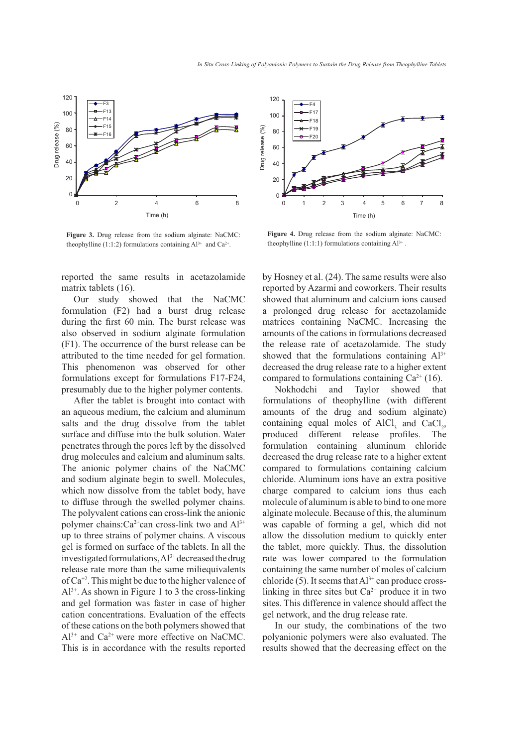

**Figure 3.** Drug release from the sodium alginate: NaCMC: theophylline (1:1:2) formulations containing  $Al^{3+}$  and  $Ca^{2+}$ .

reported the same results in acetazolamide matrix tablets (16).

Our study showed that the NaCMC formulation (F2) had a burst drug release during the first 60 min. The burst release was also observed in sodium alginate formulation (F1). The occurrence of the burst release can be attributed to the time needed for gel formation. This phenomenon was observed for other formulations except for formulations F17-F24, presumably due to the higher polymer contents.

After the tablet is brought into contact with an aqueous medium, the calcium and aluminum salts and the drug dissolve from the tablet surface and diffuse into the bulk solution. Water penetrates through the pores left by the dissolved drug molecules and calcium and aluminum salts. The anionic polymer chains of the NaCMC and sodium alginate begin to swell. Molecules, which now dissolve from the tablet body, have to diffuse through the swelled polymer chains. The polyvalent cations can cross-link the anionic polymer chains: $Ca^{2+}$ can cross-link two and  $Al^{3+}$ up to three strains of polymer chains. A viscous gel is formed on surface of the tablets. In all the investigated formulations,  $Al^{3+}$  decreased the drug release rate more than the same miliequivalents of Ca+2. This might be due to the higher valence of  $Al^{3+}$ . As shown in Figure 1 to 3 the cross-linking and gel formation was faster in case of higher cation concentrations. Evaluation of the effects of these cations on the both polymers showed that  $Al^{3+}$  and  $Ca^{2+}$  were more effective on NaCMC. This is in accordance with the results reported



**Figure 4.** Drug release from the sodium alginate: NaCMC: theophylline  $(1:1:1)$  formulations containing  $Al^{3+}$ .

by Hosney et al. (24). The same results were also reported by Azarmi and coworkers. Their results showed that aluminum and calcium ions caused a prolonged drug release for acetazolamide matrices containing NaCMC. Increasing the amounts of the cations in formulations decreased the release rate of acetazolamide. The study showed that the formulations containing  $Al^{3+}$ decreased the drug release rate to a higher extent compared to formulations containing  $Ca^{2+}(16)$ .

Nokhodchi and Taylor showed that formulations of theophylline (with different amounts of the drug and sodium alginate) containing equal moles of  $AICI_3$  and  $CaCl_2$ , produced different release profiles. The formulation containing aluminum chloride decreased the drug release rate to a higher extent compared to formulations containing calcium chloride. Aluminum ions have an extra positive charge compared to calcium ions thus each molecule of aluminum is able to bind to one more alginate molecule. Because of this, the aluminum was capable of forming a gel, which did not allow the dissolution medium to quickly enter the tablet, more quickly. Thus, the dissolution rate was lower compared to the formulation containing the same number of moles of calcium chloride (5). It seems that  $Al^{3+}$  can produce crosslinking in three sites but  $Ca^{2+}$  produce it in two sites. This difference in valence should affect the gel network, and the drug release rate.

In our study, the combinations of the two polyanionic polymers were also evaluated. The results showed that the decreasing effect on the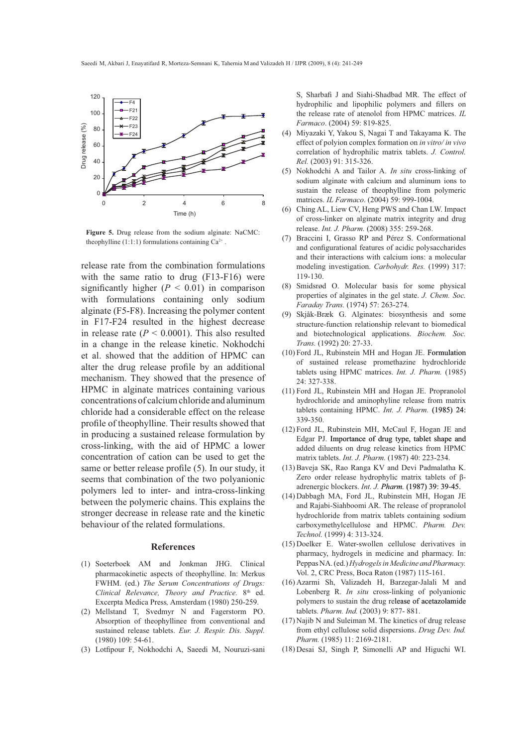

**Figure 5.** Drug release from the sodium alginate: NaCMC: theophylline  $(1:1:1)$  formulations containing  $Ca^{2+}$ .

release rate from the combination formulations with the same ratio to drug (F13-F16) were significantly higher  $(P < 0.01)$  in comparison with formulations containing only sodium alginate (F5-F8). Increasing the polymer content in F17-F24 resulted in the highest decrease in release rate  $(P < 0.0001)$ . This also resulted in a change in the release kinetic. Nokhodchi et al. showed that the addition of HPMC can alter the drug release profile by an additional mechanism. They showed that the presence of HPMC in alginate matrices containing various concentrations of calcium chloride and aluminum chloride had a considerable effect on the release profile of theophylline. Their results showed that in producing a sustained release formulation by cross-linking, with the aid of HPMC a lower concentration of cation can be used to get the same or better release profile  $(5)$ . In our study, it seems that combination of the two polyanionic polymers led to inter- and intra-cross-linking between the polymeric chains. This explains the stronger decrease in release rate and the kinetic behaviour of the related formulations.

#### **References**

- (1) Soeterboek AM and Jonkman JHG. Clinical pharmacokinetic aspects of theophylline. In: Merkus FWHM. (ed.) *The Serum Concentrations of Drugs: Clinical Relevance, Theory and Practice.* 8<sup>th</sup> ed. Excerpta Medica Press*,* Amsterdam (1980) 250-259.
- (2) Mellstand T, Svedmyr N and Fagerstorm PO. Absorption of theophyllinee from conventional and sustained release tablets. *Eur. J. Respir. Dis. Suppl.* (1980) 109: 54-61.
- (3) Lotfipour F, Nokhodchi A, Saeedi M, Nouruzi-sani

S, Sharbafi J and Siahi-Shadbad MR. The effect of hydrophilic and lipophilic polymers and fillers on the release rate of atenolol from HPMC matrices. *IL Farmaco*. (2004) 59: 819-825.

- Miyazaki Y, Yakou S, Nagai T and Takayama K. The (4) effect of polyion complex formation on *in vitro/ in vivo* correlation of hydrophilic matrix tablets. *J. Control. Rel.* (2003) 91: 315-326.
- (5) Nokhodchi A and Tailor A. *In situ* cross-linking of sodium alginate with calcium and aluminum ions to sustain the release of theophylline from polymeric matrices. *IL Farmaco*. (2004) 59: 999-1004.
- Ching AL, Liew CV, Heng PWS and Chan LW. Impact of cross-linker on alginate matrix integrity and drug release. *Int. J. Pharm.* (2008) 355: 259-268. (6)
- (7) Braccini I, Grasso RP and Pérez S. Conformational and configurational features of acidic polysaccharides and their interactions with calcium ions: a molecular modeling investigation. *Carbohydr. Res.* (1999) 317: 119-130.
- (8) Smidsrød O. Molecular basis for some physical properties of alginates in the gel state. *J. Chem. Soc. Faraday Trans.* (1974) 57: 263-274.
- (9) Skjåk-Bræk G. Alginates: biosynthesis and some structure-function relationship relevant to biomedical and biotechnological applications. *Biochem. Soc. Trans.* (1992) 20: 27-33.
- (10) Ford JL, Rubinstein MH and Hogan JE. Formulation of sustained release promethazine hydrochloride tablets using HPMC matrices. *Int. J. Pharm.* (1985) 24: 327-338.
- (11) Ford JL, Rubinstein MH and Hogan JE. Propranolol hydrochloride and aminophyline release from matrix tablets containing HPMC. Int. J. Pharm. (1985) 24: 339-350.
- (12) Ford JL, Rubinstein MH, McCaul F, Hogan JE and Edgar PJ. Importance of drug type, tablet shape and added diluents on drug release kinetics from HPMC matrix tablets. *Int. J. Pharm.* (1987) 40: 223-234.
- (13) Baveja SK, Rao Ranga KV and Devi Padmalatha K. Zero order release hydrophylic matrix tablets of  $\beta$ adrenergic blockers. *Int. J. Pharm.* (1987) 39: 39-45.
- (14) Dabbagh MA, Ford JL, Rubinstein MH, Hogan JE and Rajabi-Siahboomi AR. The release of propranolol hydrochloride from matrix tablets containing sodium carboxymethylcellulose and HPMC. *Pharm. Dev. Technol.* (1999) 4: 313-324.
- (15) Doelker E. Water-swollen cellulose derivatives in pharmacy, hydrogels in medicine and pharmacy. In: Peppas NA. (ed.) *Hydrogels in Medicine and Pharmacy.*  Vol. 2, CRC Press, Boca Raton (1987) 115-161.
- (16) Azarmi Sh, Valizadeh H, Barzegar-Jalali M and Lobenberg R. *In situ* cross-linking of polyanionic polymers to sustain the drug release of acetazolamide tablets. *Pharm. Ind.* (2003) 9: 877- 881.
- $(17)$  Najib N and Suleiman M. The kinetics of drug release from ethyl cellulose solid dispersions. *Drug Dev. Ind. Pharm.* (1985) 11: 2169-2181.
- (18) Desai SJ, Singh P, Simonelli AP and Higuchi WI.